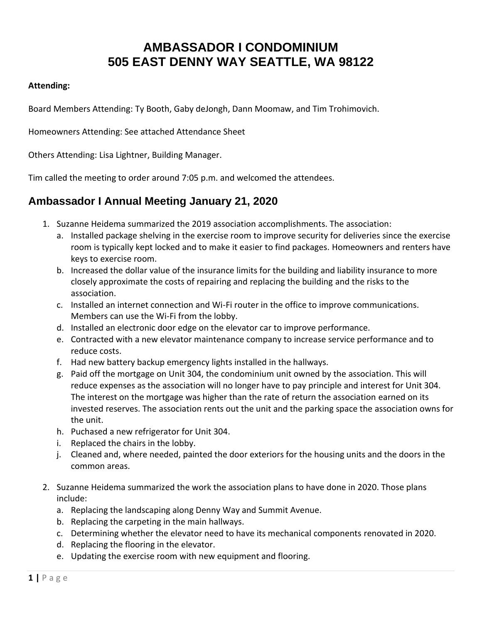## **AMBASSADOR I CONDOMINIUM 505 EAST DENNY WAY SEATTLE, WA 98122**

## **Attending:**

Board Members Attending: Ty Booth, Gaby deJongh, Dann Moomaw, and Tim Trohimovich.

Homeowners Attending: See attached Attendance Sheet

Others Attending: Lisa Lightner, Building Manager.

Tim called the meeting to order around 7:05 p.m. and welcomed the attendees.

## **Ambassador I Annual Meeting January 21, 2020**

- 1. Suzanne Heidema summarized the 2019 association accomplishments. The association:
	- a. Installed package shelving in the exercise room to improve security for deliveries since the exercise room is typically kept locked and to make it easier to find packages. Homeowners and renters have keys to exercise room.
	- b. Increased the dollar value of the insurance limits for the building and liability insurance to more closely approximate the costs of repairing and replacing the building and the risks to the association.
	- c. Installed an internet connection and Wi-Fi router in the office to improve communications. Members can use the Wi-Fi from the lobby.
	- d. Installed an electronic door edge on the elevator car to improve performance.
	- e. Contracted with a new elevator maintenance company to increase service performance and to reduce costs.
	- f. Had new battery backup emergency lights installed in the hallways.
	- g. Paid off the mortgage on Unit 304, the condominium unit owned by the association. This will reduce expenses as the association will no longer have to pay principle and interest for Unit 304. The interest on the mortgage was higher than the rate of return the association earned on its invested reserves. The association rents out the unit and the parking space the association owns for the unit.
	- h. Puchased a new refrigerator for Unit 304.
	- i. Replaced the chairs in the lobby.
	- j. Cleaned and, where needed, painted the door exteriors for the housing units and the doors in the common areas.
- 2. Suzanne Heidema summarized the work the association plans to have done in 2020. Those plans include:
	- a. Replacing the landscaping along Denny Way and Summit Avenue.
	- b. Replacing the carpeting in the main hallways.
	- c. Determining whether the elevator need to have its mechanical components renovated in 2020.
	- d. Replacing the flooring in the elevator.
	- e. Updating the exercise room with new equipment and flooring.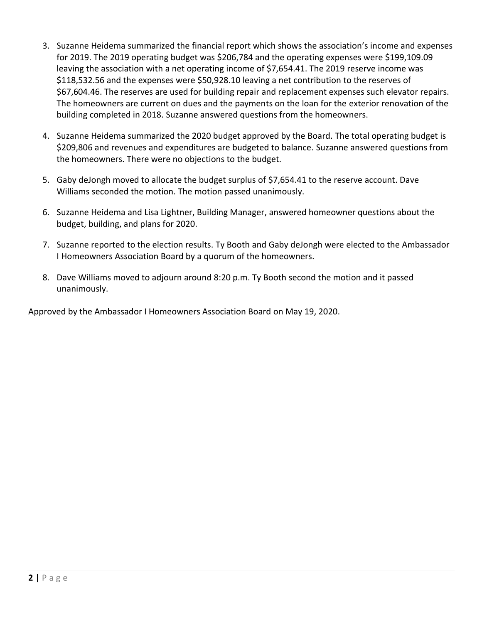- 3. Suzanne Heidema summarized the financial report which shows the association's income and expenses for 2019. The 2019 operating budget was \$206,784 and the operating expenses were \$199,109.09 leaving the association with a net operating income of \$7,654.41. The 2019 reserve income was \$118,532.56 and the expenses were \$50,928.10 leaving a net contribution to the reserves of \$67,604.46. The reserves are used for building repair and replacement expenses such elevator repairs. The homeowners are current on dues and the payments on the loan for the exterior renovation of the building completed in 2018. Suzanne answered questions from the homeowners.
- 4. Suzanne Heidema summarized the 2020 budget approved by the Board. The total operating budget is \$209,806 and revenues and expenditures are budgeted to balance. Suzanne answered questions from the homeowners. There were no objections to the budget.
- 5. Gaby deJongh moved to allocate the budget surplus of \$7,654.41 to the reserve account. Dave Williams seconded the motion. The motion passed unanimously.
- 6. Suzanne Heidema and Lisa Lightner, Building Manager, answered homeowner questions about the budget, building, and plans for 2020.
- 7. Suzanne reported to the election results. Ty Booth and Gaby deJongh were elected to the Ambassador I Homeowners Association Board by a quorum of the homeowners.
- 8. Dave Williams moved to adjourn around 8:20 p.m. Ty Booth second the motion and it passed unanimously.

Approved by the Ambassador I Homeowners Association Board on May 19, 2020.